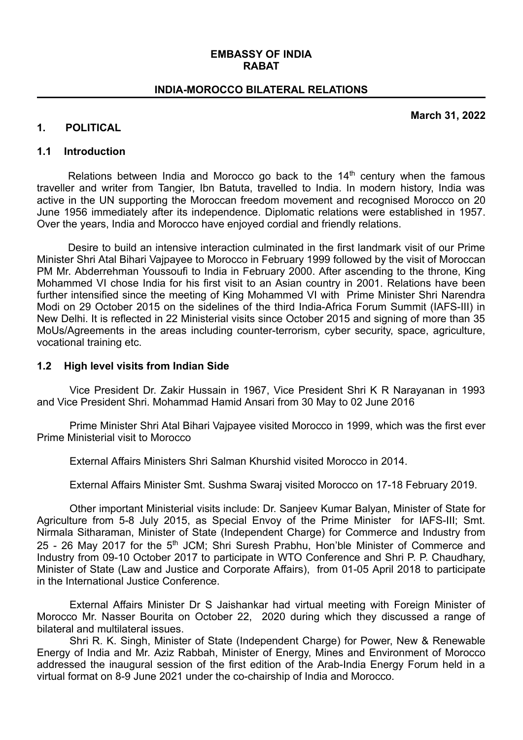#### **EMBASSY OF INDIA RABAT**

#### **INDIA-MOROCCO BILATERAL RELATIONS**

**March 31, 2022**

#### **1. POLITICAL**

#### **1.1 Introduction**

Relations between India and Morocco go back to the  $14<sup>th</sup>$  century when the famous traveller and writer from Tangier, Ibn Batuta, travelled to India. In modern history, India was active in the UN supporting the Moroccan freedom movement and recognised Morocco on 20 June 1956 immediately after its independence. Diplomatic relations were established in 1957. Over the years, India and Morocco have enjoyed cordial and friendly relations.

Desire to build an intensive interaction culminated in the first landmark visit of our Prime Minister Shri Atal Bihari Vajpayee to Morocco in February 1999 followed by the visit of Moroccan PM Mr. Abderrehman Youssoufi to India in February 2000. After ascending to the throne, King Mohammed VI chose India for his first visit to an Asian country in 2001. Relations have been further intensified since the meeting of King Mohammed VI with Prime Minister Shri Narendra Modi on 29 October 2015 on the sidelines of the third India-Africa Forum Summit (IAFS-III) in New Delhi. It is reflected in 22 Ministerial visits since October 2015 and signing of more than 35 MoUs/Agreements in the areas including counter-terrorism, cyber security, space, agriculture, vocational training etc.

#### **1.2 High level visits from Indian Side**

Vice President Dr. Zakir Hussain in 1967, Vice President Shri K R Narayanan in 1993 and Vice President Shri. Mohammad Hamid Ansari from 30 May to 02 June 2016

Prime Minister Shri Atal Bihari Vajpayee visited Morocco in 1999, which was the first ever Prime Ministerial visit to Morocco

External Affairs Ministers Shri Salman Khurshid visited Morocco in 2014.

External Affairs Minister Smt. Sushma Swaraj visited Morocco on 17-18 February 2019.

Other important Ministerial visits include: Dr. Sanjeev Kumar Balyan, Minister of State for Agriculture from 5-8 July 2015, as Special Envoy of the Prime Minister for IAFS-III; Smt. Nirmala Sitharaman, Minister of State (Independent Charge) for Commerce and Industry from 25 - 26 May 2017 for the 5<sup>th</sup> JCM; Shri Suresh Prabhu, Hon'ble Minister of Commerce and Industry from 09-10 October 2017 to participate in WTO Conference and Shri P. P. Chaudhary, Minister of State (Law and Justice and Corporate Affairs), from 01-05 April 2018 to participate in the International Justice Conference.

External Affairs Minister Dr S Jaishankar had virtual meeting with Foreign Minister of Morocco Mr. Nasser Bourita on October 22, 2020 during which they discussed a range of bilateral and multilateral issues.

Shri R. K. Singh, Minister of State (Independent Charge) for Power, New & Renewable Energy of India and Mr. Aziz Rabbah, Minister of Energy, Mines and Environment of Morocco addressed the inaugural session of the first edition of the Arab-India Energy Forum held in a virtual format on 8-9 June 2021 under the co-chairship of India and Morocco.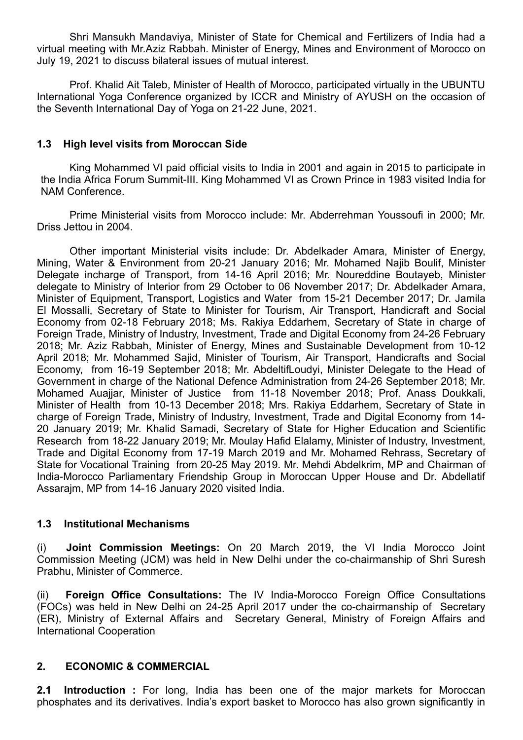Shri Mansukh Mandaviya, Minister of State for Chemical and Fertilizers of India had a virtual meeting with Mr.Aziz Rabbah*.* Minister of Energy, Mines and Environment of Morocco on July 19, 2021 to discuss bilateral issues of mutual interest.

Prof. Khalid Ait Taleb, Minister of Health of Morocco, participated virtually in the UBUNTU International Yoga Conference organized by ICCR and Ministry of AYUSH on the occasion of the Seventh International Day of Yoga on 21-22 June, 2021.

### **1.3 High level visits from Moroccan Side**

King Mohammed VI paid official visits to India in 2001 and again in 2015 to participate in the India Africa Forum Summit-III. King Mohammed VI as Crown Prince in 1983 visited India for NAM Conference.

Prime Ministerial visits from Morocco include: Mr. Abderrehman Youssoufi in 2000; Mr. Driss Jettou in 2004.

Other important Ministerial visits include: Dr. Abdelkader Amara, Minister of Energy, Mining, Water & Environment from 20-21 January 2016; Mr. Mohamed Najib Boulif, Minister Delegate incharge of Transport, from 14-16 April 2016; Mr. Noureddine Boutayeb, Minister delegate to Ministry of Interior from 29 October to 06 November 2017; Dr. Abdelkader Amara, Minister of Equipment, Transport, Logistics and Water from 15-21 December 2017; Dr. Jamila El Mossalli, Secretary of State to Minister for Tourism, Air Transport, Handicraft and Social Economy from 02-18 February 2018; Ms. Rakiya Eddarhem, Secretary of State in charge of Foreign Trade, Ministry of Industry, Investment, Trade and Digital Economy from 24-26 February 2018; Mr. Aziz Rabbah, Minister of Energy, Mines and Sustainable Development from 10-12 April 2018; Mr. Mohammed Sajid, Minister of Tourism, Air Transport, Handicrafts and Social Economy, from 16-19 September 2018; Mr. AbdeltifLoudyi, Minister Delegate to the Head of Government in charge of the National Defence Administration from 24-26 September 2018; Mr. Mohamed Auajjar, Minister of Justice from 11-18 November 2018; Prof. Anass Doukkali, Minister of Health from 10-13 December 2018; Mrs. Rakiya Eddarhem, Secretary of State in charge of Foreign Trade, Ministry of Industry, Investment, Trade and Digital Economy from 14- 20 January 2019; Mr. Khalid Samadi, Secretary of State for Higher Education and Scientific Research from 18-22 January 2019; Mr. Moulay Hafid Elalamy, Minister of Industry, Investment, Trade and Digital Economy from 17-19 March 2019 and Mr. Mohamed Rehrass, Secretary of State for Vocational Training from 20-25 May 2019. Mr. Mehdi Abdelkrim, MP and Chairman of India-Morocco Parliamentary Friendship Group in Moroccan Upper House and Dr. Abdellatif Assarajm, MP from 14-16 January 2020 visited India.

### **1.3 Institutional Mechanisms**

(i) **Joint Commission Meetings:** On 20 March 2019, the VI India Morocco Joint Commission Meeting (JCM) was held in New Delhi under the co-chairmanship of Shri Suresh Prabhu, Minister of Commerce.

(ii) **Foreign Office Consultations:** The IV India-Morocco Foreign Office Consultations (FOCs) was held in New Delhi on 24-25 April 2017 under the co-chairmanship of Secretary (ER), Ministry of External Affairs and Secretary General, Ministry of Foreign Affairs and International Cooperation

## **2. ECONOMIC & COMMERCIAL**

**2.1 Introduction :** For long, India has been one of the major markets for Moroccan phosphates and its derivatives. India's export basket to Morocco has also grown significantly in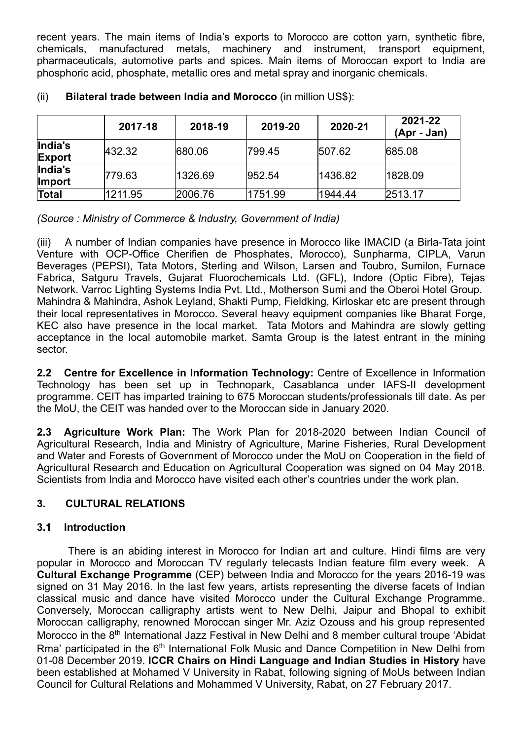recent years. The main items of India's exports to Morocco are cotton yarn, synthetic fibre, chemicals, manufactured metals, machinery and instrument, transport equipment, pharmaceuticals, automotive parts and spices. Main items of Moroccan export to India are phosphoric acid, phosphate, metallic ores and metal spray and inorganic chemicals.

|                          | 2017-18 | 2018-19 | 2019-20 | 2020-21 | 2021-22<br>(Apr - Jan) |
|--------------------------|---------|---------|---------|---------|------------------------|
| India's<br><b>Export</b> | 432.32  | 680.06  | 799.45  | 507.62  | 685.08                 |
| India's<br><b>Import</b> | 779.63  | 1326.69 | 952.54  | 1436.82 | 1828.09                |
| Total                    | 1211.95 | 2006.76 | 1751.99 | 1944.44 | 2513.17                |

## (ii) **Bilateral trade between India and Morocco** (in million US\$):

*(Source : Ministry of Commerce & Industry, Government of India)*

(iii) A number of Indian companies have presence in Morocco like IMACID (a Birla-Tata joint Venture with OCP-Office Cherifien de Phosphates, Morocco), Sunpharma, CIPLA, Varun Beverages (PEPSI), Tata Motors, Sterling and Wilson, Larsen and Toubro, Sumilon, Furnace Fabrica, Satguru Travels, Gujarat Fluorochemicals Ltd. (GFL), Indore (Optic Fibre), Tejas Network. Varroc Lighting Systems India Pvt. Ltd., Motherson Sumi and the Oberoi Hotel Group. Mahindra & Mahindra, Ashok Leyland, Shakti Pump, Fieldking, Kirloskar etc are present through their local representatives in Morocco. Several heavy equipment companies like Bharat Forge, KEC also have presence in the local market. Tata Motors and Mahindra are slowly getting acceptance in the local automobile market. Samta Group is the latest entrant in the mining sector.

**2.2 Centre for Excellence in Information Technology:** Centre of Excellence in Information Technology has been set up in Technopark, Casablanca under IAFS-II development programme. CEIT has imparted training to 675 Moroccan students/professionals till date. As per the MoU, the CEIT was handed over to the Moroccan side in January 2020.

**2.3 Agriculture Work Plan:** The Work Plan for 2018-2020 between Indian Council of Agricultural Research, India and Ministry of Agriculture, Marine Fisheries, Rural Development and Water and Forests of Government of Morocco under the MoU on Cooperation in the field of Agricultural Research and Education on Agricultural Cooperation was signed on 04 May 2018. Scientists from India and Morocco have visited each other's countries under the work plan.

## **3. CULTURAL RELATIONS**

## **3.1 Introduction**

There is an abiding interest in Morocco for Indian art and culture. Hindi films are very popular in Morocco and Moroccan TV regularly telecasts Indian feature film every week. A **Cultural Exchange Programme** (CEP) between India and Morocco for the years 2016-19 was signed on 31 May 2016. In the last few years, artists representing the diverse facets of Indian classical music and dance have visited Morocco under the Cultural Exchange Programme. Conversely, Moroccan calligraphy artists went to New Delhi, Jaipur and Bhopal to exhibit Moroccan calligraphy, renowned Moroccan singer Mr. Aziz Ozouss and his group represented Morocco in the 8<sup>th</sup> International Jazz Festival in New Delhi and 8 member cultural troupe 'Abidat Rma' participated in the 6<sup>th</sup> International Folk Music and Dance Competition in New Delhi from 01-08 December 2019. **ICCR Chairs on Hindi Language and Indian Studies in History** have been established at Mohamed V University in Rabat, following signing of MoUs between Indian Council for Cultural Relations and Mohammed V University, Rabat, on 27 February 2017.